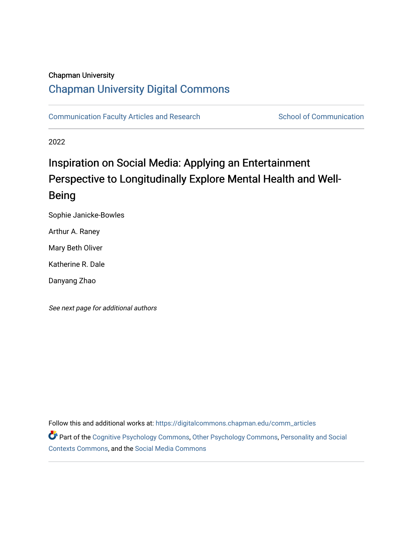#### Chapman University

# [Chapman University Digital Commons](https://digitalcommons.chapman.edu/)

[Communication Faculty Articles and Research](https://digitalcommons.chapman.edu/comm_articles) School of Communication

2022

# Inspiration on Social Media: Applying an Entertainment Perspective to Longitudinally Explore Mental Health and Well-Being

Sophie Janicke-Bowles

Arthur A. Raney

Mary Beth Oliver

Katherine R. Dale

Danyang Zhao

See next page for additional authors

Follow this and additional works at: [https://digitalcommons.chapman.edu/comm\\_articles](https://digitalcommons.chapman.edu/comm_articles?utm_source=digitalcommons.chapman.edu%2Fcomm_articles%2F91&utm_medium=PDF&utm_campaign=PDFCoverPages) 

Part of the [Cognitive Psychology Commons,](http://network.bepress.com/hgg/discipline/408?utm_source=digitalcommons.chapman.edu%2Fcomm_articles%2F91&utm_medium=PDF&utm_campaign=PDFCoverPages) [Other Psychology Commons,](http://network.bepress.com/hgg/discipline/415?utm_source=digitalcommons.chapman.edu%2Fcomm_articles%2F91&utm_medium=PDF&utm_campaign=PDFCoverPages) [Personality and Social](http://network.bepress.com/hgg/discipline/413?utm_source=digitalcommons.chapman.edu%2Fcomm_articles%2F91&utm_medium=PDF&utm_campaign=PDFCoverPages)  [Contexts Commons](http://network.bepress.com/hgg/discipline/413?utm_source=digitalcommons.chapman.edu%2Fcomm_articles%2F91&utm_medium=PDF&utm_campaign=PDFCoverPages), and the [Social Media Commons](http://network.bepress.com/hgg/discipline/1249?utm_source=digitalcommons.chapman.edu%2Fcomm_articles%2F91&utm_medium=PDF&utm_campaign=PDFCoverPages)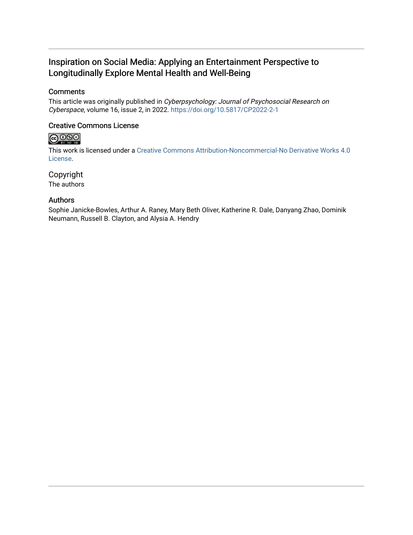# Inspiration on Social Media: Applying an Entertainment Perspective to Longitudinally Explore Mental Health and Well-Being

#### **Comments**

This article was originally published in Cyberpsychology: Journal of Psychosocial Research on Cyberspace, volume 16, issue 2, in 2022.<https://doi.org/10.5817/CP2022-2-1>

#### Creative Commons License

# $\bigcirc$  000

This work is licensed under a [Creative Commons Attribution-Noncommercial-No Derivative Works 4.0](https://creativecommons.org/licenses/by-nc-nd/4.0/) [License](https://creativecommons.org/licenses/by-nc-nd/4.0/).

Copyright The authors

#### Authors

Sophie Janicke-Bowles, Arthur A. Raney, Mary Beth Oliver, Katherine R. Dale, Danyang Zhao, Dominik Neumann, Russell B. Clayton, and Alysia A. Hendry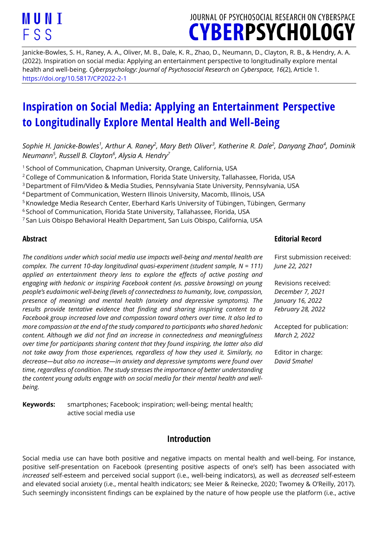# JOURNAL OF PSYCHOSOCIAL RESEARCH ON CYBERSPACE **CYBERPSYCHOLOGY**

Janicke-Bowles, S. H., Raney, A. A., Oliver, M. B., Dale, K. R., Zhao, D., Neumann, D., Clayton, R. B., & Hendry, A. A. (2022). Inspiration on social media: Applying an entertainment perspective to longitudinally explore mental health and well-being. *Cyberpsychology: Journal of Psychosocial Research on Cyberspace, 16*(2), Article 1. [https://doi.org/10.5817/CP2022-2-1](https://doi.org/10.5817/CP2022-2-)

# **Inspiration on Social Media: Applying an Entertainment Perspective to Longitudinally Explore Mental Health and Well-Being**

*Sophie H. Janicke-Bowles<sup>1</sup> , Arthur A. Raney<sup>2</sup> , Mary Beth Oliver<sup>3</sup> , Katherine R. Dale<sup>2</sup> , Danyang Zhao<sup>4</sup> , Dominik Neumann<sup>5</sup> , Russell B. Clayton<sup>6</sup> , Alysia A. Hendry<sup>7</sup>*

<sup>1</sup> School of Communication, Chapman University, Orange, California, USA

<sup>2</sup> College of Communication & Information, Florida State University, Tallahassee, Florida, USA

<sup>3</sup>Department of Film/Video & Media Studies, Pennsylvania State University, Pennsylvania, USA

<sup>4</sup>Department of Communication, Western Illinois University, Macomb, Illinois, USA

<sup>5</sup> Knowledge Media Research Center, Eberhard Karls University of Tübingen, Tübingen, Germany

<sup>6</sup> School of Communication, Florida State University, Tallahassee, Florida, USA

<sup>7</sup>San Luis Obispo Behavioral Health Department, San Luis Obispo, California, USA

#### **Abstract**

*The conditions under which social media use impacts well-being and mental health are complex. The current 10-day longitudinal quasi-experiment (student sample, N = 111) applied an entertainment theory lens to explore the effects of active posting and engaging with hedonic or inspiring Facebook content (vs. passive browsing) on young people's eudaimonic well-being (levels of connectedness to humanity, love, compassion, presence of meaning) and mental health (anxiety and depressive symptoms). The results provide tentative evidence that finding and sharing inspiring content to a Facebook group increased love and compassion toward others over time. It also led to more compassion at the end of the study compared to participants who shared hedonic content. Although we did not find an increase in connectedness and meaningfulness over time for participants sharing content that they found inspiring, the latter also did not take away from those experiences, regardless of how they used it. Similarly, no decrease—but also no increase—in anxiety and depressive symptoms were found over time, regardless of condition. The study stresses the importance of better understanding the content young adults engage with on social media for their mental health and wellbeing.*

**Keywords:** smartphones; Facebook; inspiration; well-being; mental health; active social media use

# **Introduction**

Social media use can have both positive and negative impacts on mental health and well-being. For instance, positive self-presentation on Facebook (presenting positive aspects of one's self) has been associated with *increased* self-esteem and perceived social support (i.e., well-being indicators), as well as *decreased* self-esteem and elevated social anxiety (i.e., mental health indicators; see Meier & Reinecke, 2020; Twomey & O'Reilly, 2017). Such seemingly inconsistent findings can be explained by the nature of how people use the platform (i.e., active

#### **Editorial Record**

First submission received: *June 22, 2021*

Revisions received: *December 7, 2021 January 16, 2022 February 28, 2022*

Accepted for publication: *March 2, 2022*

Editor in charge: *David Smahel*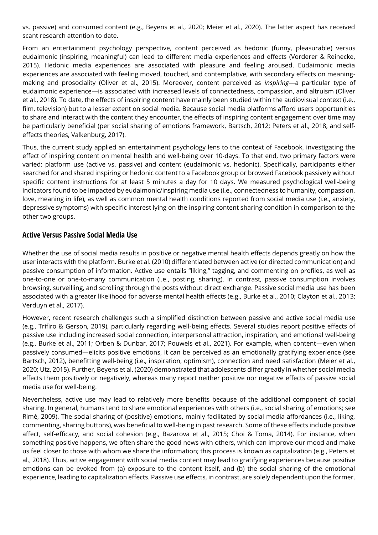vs. passive) and consumed content (e.g., Beyens et al., 2020; Meier et al., 2020). The latter aspect has received scant research attention to date.

From an entertainment psychology perspective, content perceived as hedonic (funny, pleasurable) versus eudaimonic (inspiring, meaningful) can lead to different media experiences and effects (Vorderer & Reinecke, 2015). Hedonic media experiences are associated with pleasure and feeling aroused. Eudaimonic media experiences are associated with feeling moved, touched, and contemplative, with secondary effects on meaningmaking and prosociality (Oliver et al., 2015). Moreover, content perceived as *inspiring*—a particular type of eudaimonic experience—is associated with increased levels of connectedness, compassion, and altruism (Oliver et al., 2018). To date, the effects of inspiring content have mainly been studied within the audiovisual context (i.e., film, television) but to a lesser extent on social media. Because social media platforms afford users opportunities to share and interact with the content they encounter, the effects of inspiring content engagement over time may be particularly beneficial (per social sharing of emotions framework, Bartsch, 2012; Peters et al., 2018, and selfeffects theories, Valkenburg, 2017).

Thus, the current study applied an entertainment psychology lens to the context of Facebook, investigating the effect of inspiring content on mental health and well-being over 10-days. To that end, two primary factors were varied: platform use (active vs. passive) and content (eudaimonic vs. hedonic). Specifically, participants either searched for and shared inspiring or hedonic content to a Facebook group or browsed Facebook passively without specific content instructions for at least 5 minutes a day for 10 days. We measured psychological well-being indicators found to be impacted by eudaimonic/inspiring media use (i.e., connectedness to humanity, compassion, love, meaning in life), as well as common mental health conditions reported from social media use (i.e., anxiety, depressive symptoms) with specific interest lying on the inspiring content sharing condition in comparison to the other two groups.

#### **Active Versus Passive Social Media Use**

Whether the use of social media results in positive or negative mental health effects depends greatly on how the user interacts with the platform. Burke et al. (2010) differentiated between active (or directed communication) and passive consumption of information. Active use entails "liking," tagging, and commenting on profiles, as well as one-to-one or one-to-many communication (i.e., posting, sharing). In contrast, passive consumption involves browsing, surveilling, and scrolling through the posts without direct exchange. Passive social media use has been associated with a greater likelihood for adverse mental health effects (e.g., Burke et al., 2010; Clayton et al., 2013; Verduyn et al., 2017).

However, recent research challenges such a simplified distinction between passive and active social media use (e.g., Trifiro & Gerson, 2019), particularly regarding well-being effects. Several studies report positive effects of passive use including increased social connection, interpersonal attraction, inspiration, and emotional well-being (e.g., Burke et al., 2011; Orben & Dunbar, 2017; Pouwels et al., 2021). For example, when content—even when passively consumed—elicits positive emotions, it can be perceived as an emotionally gratifying experience (see Bartsch, 2012), benefitting well-being (i.e., inspiration, optimism), connection and need satisfaction (Meier et al., 2020; Utz, 2015). Further, Beyens et al. (2020) demonstrated that adolescents differ greatly in whether social media effects them positively or negatively, whereas many report neither positive nor negative effects of passive social media use for well-being.

Nevertheless, active use may lead to relatively more benefits because of the additional component of social sharing. In general, humans tend to share emotional experiences with others (i.e., social sharing of emotions; see Rimé, 2009). The social sharing of (positive) emotions, mainly facilitated by social media affordances (i.e., liking, commenting, sharing buttons), was beneficial to well-being in past research. Some of these effects include positive affect, self-efficacy, and social cohesion (e.g., Bazarova et al., 2015; Choi & Toma, 2014). For instance, when something positive happens, we often share the good news with others, which can improve our mood and make us feel closer to those with whom we share the information; this process is known as capitalization (e.g., Peters et al., 2018). Thus, active engagement with social media content may lead to gratifying experiences because positive emotions can be evoked from (a) exposure to the content itself, and (b) the social sharing of the emotional experience, leading to capitalization effects. Passive use effects, in contrast, are solely dependent upon the former.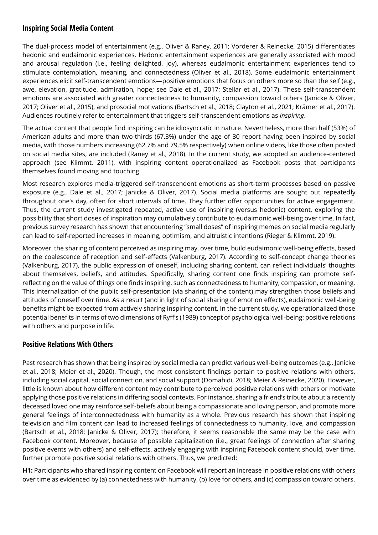#### **Inspiring Social Media Content**

The dual-process model of entertainment (e.g., Oliver & Raney, 2011; Vorderer & Reinecke, 2015) differentiates hedonic and eudaimonic experiences. Hedonic entertainment experiences are generally associated with mood and arousal regulation (i.e., feeling delighted, joy), whereas eudaimonic entertainment experiences tend to stimulate contemplation, meaning, and connectedness (Oliver et al., 2018). Some eudaimonic entertainment experiences elicit self-transcendent emotions—positive emotions that focus on others more so than the self (e.g., awe, elevation, gratitude, admiration, hope; see Dale et al., 2017; Stellar et al., 2017). These self-transcendent emotions are associated with greater connectedness to humanity, compassion toward others (Janicke & Oliver, 2017; Oliver et al., 2015), and prosocial motivations (Bartsch et al., 2018; Clayton et al., 2021; Krämer et al., 2017). Audiences routinely refer to entertainment that triggers self-transcendent emotions as *inspiring*.

The actual content that people find inspiring can be idiosyncratic in nature. Nevertheless, more than half (53%) of American adults and more than two-thirds (67.3%) under the age of 30 report having been inspired by social media, with those numbers increasing (62.7% and 79.5% respectively) when online videos, like those often posted on social media sites, are included (Raney et al., 2018). In the current study, we adopted an audience-centered approach (see Klimmt, 2011), with inspiring content operationalized as Facebook posts that participants themselves found moving and touching.

Most research explores media-triggered self-transcendent emotions as short-term processes based on passive exposure (e.g., Dale et al., 2017; Janicke & Oliver, 2017). Social media platforms are sought out repeatedly throughout one's day, often for short intervals of time. They further offer opportunities for active engagement. Thus, the current study investigated repeated, active use of inspiring (versus hedonic) content, exploring the possibility that short doses of inspiration may cumulatively contribute to eudaimonic well-being over time. In fact, previous survey research has shown that encountering "small doses" of inspiring memes on social media regularly can lead to self-reported increases in meaning, optimism, and altruistic intentions (Rieger & Klimmt, 2019).

Moreover, the sharing of content perceived as inspiring may, over time, build eudaimonic well-being effects, based on the coalescence of reception and self-effects (Valkenburg, 2017). According to self-concept change theories (Valkenburg, 2017), the public expression of oneself, including sharing content, can reflect individuals' thoughts about themselves, beliefs, and attitudes. Specifically, sharing content one finds inspiring can promote selfreflecting on the value of things one finds inspiring, such as connectedness to humanity, compassion, or meaning. This internalization of the public self-presentation (via sharing of the content) may strengthen those beliefs and attitudes of oneself over time. As a result (and in light of social sharing of emotion effects), eudaimonic well-being benefits might be expected from actively sharing inspiring content. In the current study, we operationalized those potential benefits in terms of two dimensions of Ryff's (1989) concept of psychological well-being: positive relations with others and purpose in life.

#### **Positive Relations With Others**

Past research has shown that being inspired by social media can predict various well-being outcomes (e.g., Janicke et al., 2018; Meier et al., 2020). Though, the most consistent findings pertain to positive relations with others, including social capital, social connection, and social support (Domahidi, 2018; Meier & Reinecke, 2020). However, little is known about how different content may contribute to perceived positive relations with others or motivate applying those positive relations in differing social contexts. For instance, sharing a friend's tribute about a recently deceased loved one may reinforce self-beliefs about being a compassionate and loving person, and promote more general feelings of interconnectedness with humanity as a whole. Previous research has shown that inspiring television and film content can lead to increased feelings of connectedness to humanity, love, and compassion (Bartsch et al., 2018; Janicke & Oliver, 2017); therefore, it seems reasonable the same may be the case with Facebook content. Moreover, because of possible capitalization (i.e., great feelings of connection after sharing positive events with others) and self-effects, actively engaging with inspiring Facebook content should, over time, further promote positive social relations with others. Thus, we predicted:

**H1:** Participants who shared inspiring content on Facebook will report an increase in positive relations with others over time as evidenced by (a) connectedness with humanity, (b) love for others, and (c) compassion toward others.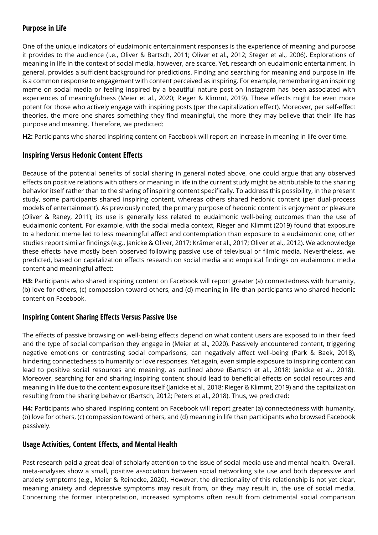#### **Purpose in Life**

One of the unique indicators of eudaimonic entertainment responses is the experience of meaning and purpose it provides to the audience (i.e., Oliver & Bartsch, 2011; Oliver et al., 2012; Steger et al., 2006). Explorations of meaning in life in the context of social media, however, are scarce. Yet, research on eudaimonic entertainment, in general, provides a sufficient background for predictions. Finding and searching for meaning and purpose in life is a common response to engagement with content perceived as inspiring. For example, remembering an inspiring meme on social media or feeling inspired by a beautiful nature post on Instagram has been associated with experiences of meaningfulness (Meier et al., 2020; Rieger & Klimmt, 2019). These effects might be even more potent for those who actively engage with inspiring posts (per the capitalization effect). Moreover, per self-effect theories, the more one shares something they find meaningful, the more they may believe that their life has purpose and meaning. Therefore, we predicted:

**H2:** Participants who shared inspiring content on Facebook will report an increase in meaning in life over time.

#### **Inspiring Versus Hedonic Content Effects**

Because of the potential benefits of social sharing in general noted above, one could argue that any observed effects on positive relations with others or meaning in life in the current study might be attributable to the sharing behavior itself rather than to the sharing of inspiring content specifically. To address this possibility, in the present study, some participants shared inspiring content, whereas others shared hedonic content (per dual-process models of entertainment). As previously noted, the primary purpose of hedonic content is enjoyment or pleasure (Oliver & Raney, 2011); its use is generally less related to eudaimonic well-being outcomes than the use of eudaimonic content. For example, with the social media context, Rieger and Klimmt (2019) found that exposure to a hedonic meme led to less meaningful affect and contemplation than exposure to a eudaimonic one; other studies report similar findings (e.g., Janicke & Oliver, 2017; Krämer et al., 2017; Oliver et al., 2012). We acknowledge these effects have mostly been observed following passive use of televisual or filmic media. Nevertheless, we predicted, based on capitalization effects research on social media and empirical findings on eudaimonic media content and meaningful affect:

**H3:** Participants who shared inspiring content on Facebook will report greater (a) connectedness with humanity, (b) love for others, (c) compassion toward others, and (d) meaning in life than participants who shared hedonic content on Facebook.

#### **Inspiring Content Sharing Effects Versus Passive Use**

The effects of passive browsing on well-being effects depend on what content users are exposed to in their feed and the type of social comparison they engage in (Meier et al., 2020). Passively encountered content, triggering negative emotions or contrasting social comparisons, can negatively affect well-being (Park & Baek, 2018), hindering connectedness to humanity or love responses. Yet again, even simple exposure to inspiring content can lead to positive social resources and meaning, as outlined above (Bartsch et al., 2018; Janicke et al., 2018). Moreover, searching for and sharing inspiring content should lead to beneficial effects on social resources and meaning in life due to the content exposure itself (Janicke et al., 2018; Rieger & Klimmt, 2019) and the capitalization resulting from the sharing behavior (Bartsch, 2012; Peters et al., 2018). Thus, we predicted:

**H4:** Participants who shared inspiring content on Facebook will report greater (a) connectedness with humanity, (b) love for others, (c) compassion toward others, and (d) meaning in life than participants who browsed Facebook passively.

#### **Usage Activities, Content Effects, and Mental Health**

Past research paid a great deal of scholarly attention to the issue of social media use and mental health. Overall, meta-analyses show a small, positive association between social networking site use and both depressive and anxiety symptoms (e.g., Meier & Reinecke, 2020). However, the directionality of this relationship is not yet clear, meaning anxiety and depressive symptoms may result from, or they may result in, the use of social media. Concerning the former interpretation, increased symptoms often result from detrimental social comparison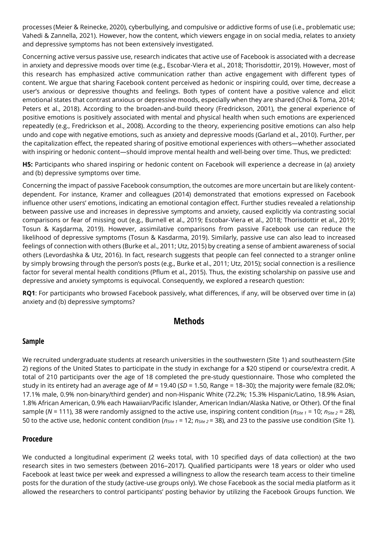processes (Meier & Reinecke, 2020), cyberbullying, and compulsive or addictive forms of use (i.e., problematic use; Vahedi & Zannella, 2021). However, how the content, which viewers engage in on social media, relates to anxiety and depressive symptoms has not been extensively investigated.

Concerning active versus passive use, research indicates that active use of Facebook is associated with a decrease in anxiety and depressive moods over time (e.g., Escobar-Viera et al., 2018; Thorisdottir, 2019). However, most of this research has emphasized active communication rather than active engagement with different types of content. We argue that sharing Facebook content perceived as hedonic or inspiring could, over time, decrease a user's anxious or depressive thoughts and feelings. Both types of content have a positive valence and elicit emotional states that contrast anxious or depressive moods, especially when they are shared (Choi & Toma, 2014; Peters et al., 2018). According to the broaden-and-build theory (Fredrickson, 2001), the general experience of positive emotions is positively associated with mental and physical health when such emotions are experienced repeatedly (e.g., Fredrickson et al., 2008). According to the theory, experiencing positive emotions can also help undo and cope with negative emotions, such as anxiety and depressive moods (Garland et al., 2010). Further, per the capitalization effect, the repeated sharing of positive emotional experiences with others—whether associated with inspiring or hedonic content—should improve mental health and well-being over time. Thus, we predicted:

**H5:** Participants who shared inspiring or hedonic content on Facebook will experience a decrease in (a) anxiety and (b) depressive symptoms over time.

Concerning the impact of passive Facebook consumption, the outcomes are more uncertain but are likely contentdependent. For instance, Kramer and colleagues (2014) demonstrated that emotions expressed on Facebook influence other users' emotions, indicating an emotional contagion effect. Further studies revealed a relationship between passive use and increases in depressive symptoms and anxiety, caused explicitly via contrasting social comparisons or fear of missing out (e.g., Burnell et al., 2019; Escobar-Viera et al., 2018; Thorisdottir et al., 2019; Tosun & Kaşdarma, 2019). However, assimilative comparisons from passive Facebook use can reduce the likelihood of depressive symptoms (Tosun & Kasdarma, 2019). Similarly, passive use can also lead to increased feelings of connection with others (Burke et al., 2011; Utz, 2015) by creating a sense of ambient awareness of social others (Levordashka & Utz, 2016). In fact, research suggests that people can feel connected to a stranger online by simply browsing through the person's posts (e.g., Burke et al., 2011; Utz, 2015); social connection is a resilience factor for several mental health conditions (Pflum et al., 2015). Thus, the existing scholarship on passive use and depressive and anxiety symptoms is equivocal. Consequently, we explored a research question:

**RQ1**: For participants who browsed Facebook passively, what differences, if any, will be observed over time in (a) anxiety and (b) depressive symptoms?

# **Methods**

#### **Sample**

We recruited undergraduate students at research universities in the southwestern (Site 1) and southeastern (Site 2) regions of the United States to participate in the study in exchange for a \$20 stipend or course/extra credit. A total of 210 participants over the age of 18 completed the pre-study questionnaire. Those who completed the study in its entirety had an average age of *M* = 19.40 (*SD* = 1.50, Range = 18–30); the majority were female (82.0%; 17.1% male, 0.9% non-binary/third gender) and non-Hispanic White (72.2%; 15.3% Hispanic/Latino, 18.9% Asian, 1.8% African American, 0.9% each Hawaiian/Pacific Islander, American Indian/Alaska Native, or Other). Of the final sample (*N* = 111), 38 were randomly assigned to the active use, inspiring content condition (*nSite 1* = 10; *nSite 2* = 28), 50 to the active use, hedonic content condition (*nSite 1* = 12; *nSite 2* = 38), and 23 to the passive use condition (Site 1).

#### **Procedure**

We conducted a longitudinal experiment (2 weeks total, with 10 specified days of data collection) at the two research sites in two semesters (between 2016–2017). Qualified participants were 18 years or older who used Facebook at least twice per week and expressed a willingness to allow the research team access to their timeline posts for the duration of the study (active-use groups only). We chose Facebook as the social media platform as it allowed the researchers to control participants' posting behavior by utilizing the Facebook Groups function. We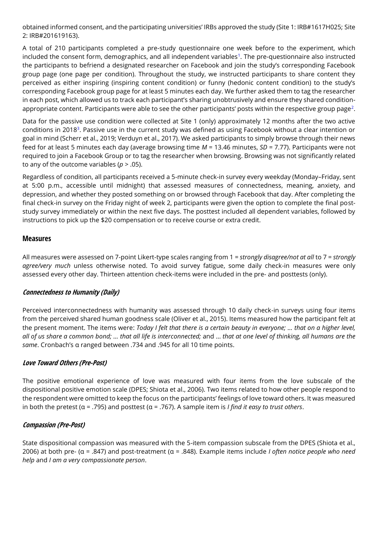obtained informed consent, and the participating universities' IRBs approved the study (Site 1: IRB#1617H025; Site 2: IRB#201619163).

A total of 210 participants completed a pre-study questionnaire one week before to the experiment, which included the consent form, demographics, and all independent variables<sup>1</sup>. The pre-questionnaire also instructed the participants to befriend a designated researcher on Facebook and join the study's corresponding Facebook group page (one page per condition). Throughout the study, we instructed participants to share content they perceived as either inspiring (inspiring content condition) or funny (hedonic content condition) to the study's corresponding Facebook group page for at least 5 minutes each day. We further asked them to tag the researcher in each post, which allowed us to track each participant's sharing unobtrusively and ensure they shared conditionappropriate content. Participants were able to see the other participants' posts within the respective group page<sup>2</sup>.

Data for the passive use condition were collected at Site 1 (only) approximately 12 months after the two active conditions in 2018<sup>3</sup>. Passive use in the current study was defined as using Facebook without a clear intention or goal in mind (Scherr et al., 2019; Verduyn et al., 2017). We asked participants to simply browse through their news feed for at least 5 minutes each day (average browsing time *M* = 13.46 minutes, *SD* = 7.77). Participants were not required to join a Facebook Group or to tag the researcher when browsing. Browsing was not significantly related to any of the outcome variables ( $p > .05$ ).

Regardless of condition, all participants received a 5-minute check-in survey every weekday (Monday–Friday, sent at 5:00 p.m., accessible until midnight) that assessed measures of connectedness, meaning, anxiety, and depression, and whether they posted something on or browsed through Facebook that day. After completing the final check-in survey on the Friday night of week 2, participants were given the option to complete the final poststudy survey immediately or within the next five days. The posttest included all dependent variables, followed by instructions to pick up the \$20 compensation or to receive course or extra credit.

#### **Measures**

All measures were assessed on 7-point Likert-type scales ranging from 1 = *strongly disagree/not at all* to 7 = *strongly agree/very much* unless otherwise noted. To avoid survey fatigue, some daily check-in measures were only assessed every other day. Thirteen attention check-items were included in the pre- and posttests (only).

#### **Connectedness to Humanity (Daily)**

Perceived interconnectedness with humanity was assessed through 10 daily check-in surveys using four items from the perceived shared human goodness scale (Oliver et al., 2015). Items measured how the participant felt at the present moment. The items were: *Today I felt that there is a certain beauty in everyone; … that on a higher level, all of us share a common bond; … that all life is interconnected;* and … *that at one level of thinking, all humans are the same*. Cronbach's α ranged between .734 and .945 for all 10 time points.

#### **Love Toward Others (Pre-Post)**

The positive emotional experience of love was measured with four items from the love subscale of the dispositional positive emotion scale (DPES; Shiota et al., 2006). Two items related to how other people respond to the respondent were omitted to keep the focus on the participants' feelings of love toward others. It was measured in both the pretest (α = .795) and posttest (α = .767). A sample item is *I find it easy to trust others*.

#### **Compassion (Pre-Post)**

State dispositional compassion was measured with the 5-item compassion subscale from the DPES (Shiota et al., 2006) at both pre- (α = .847) and post-treatment (α = .848). Example items include *I often notice people who need help* and *I am a very compassionate person*.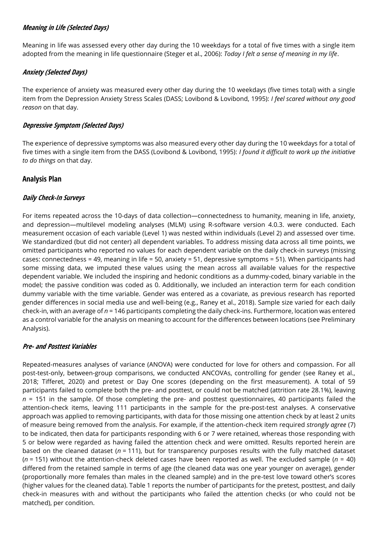#### **Meaning in Life (Selected Days)**

Meaning in life was assessed every other day during the 10 weekdays for a total of five times with a single item adopted from the meaning in life questionnaire (Steger et al., 2006): *Today I felt a sense of meaning in my life*.

#### **Anxiety (Selected Days)**

The experience of anxiety was measured every other day during the 10 weekdays (five times total) with a single item from the Depression Anxiety Stress Scales (DASS; Lovibond & Lovibond, 1995): *I feel scared without any good reason* on that day.

#### **Depressive Symptom (Selected Days)**

The experience of depressive symptoms was also measured every other day during the 10 weekdays for a total of five times with a single item from the DASS (Lovibond & Lovibond, 1995): *I found it difficult to work up the initiative to do things* on that day.

#### **Analysis Plan**

#### **Daily Check-In Surveys**

For items repeated across the 10-days of data collection—connectedness to humanity, meaning in life, anxiety, and depression—multilevel modeling analyses (MLM) using R-software version 4.0.3. were conducted. Each measurement occasion of each variable (Level 1) was nested within individuals (Level 2) and assessed over time. We standardized (but did not center) all dependent variables. To address missing data across all time points, we omitted participants who reported no values for each dependent variable on the daily check-in surveys (missing cases: connectedness = 49, meaning in life = 50, anxiety = 51, depressive symptoms = 51). When participants had some missing data, we imputed these values using the mean across all available values for the respective dependent variable. We included the inspiring and hedonic conditions as a dummy-coded, binary variable in the model; the passive condition was coded as 0. Additionally, we included an interaction term for each condition dummy variable with the time variable. Gender was entered as a covariate, as previous research has reported gender differences in social media use and well-being (e.g., Raney et al., 2018). Sample size varied for each daily check-in, with an average of *n* = 146 participants completing the daily check-ins. Furthermore, location was entered as a control variable for the analysis on meaning to account for the differences between locations (see Preliminary Analysis).

#### **Pre- and Posttest Variables**

Repeated-measures analyses of variance (ANOVA) were conducted for love for others and compassion. For all post-test-only, between-group comparisons, we conducted ANCOVAs, controlling for gender (see Raney et al., 2018; Tifferet, 2020) and pretest or Day One scores (depending on the first measurement). A total of 59 participants failed to complete both the pre- and posttest, or could not be matched (attrition rate 28.1%), leaving *n* = 151 in the sample. Of those completing the pre- and posttest questionnaires, 40 participants failed the attention-check items, leaving 111 participants in the sample for the pre-post-test analyses. A conservative approach was applied to removing participants, with data for those missing one attention check by at least 2 units of measure being removed from the analysis. For example, if the attention-check item required *strongly agree* (7) to be indicated, then data for participants responding with 6 or 7 were retained, whereas those responding with 5 or below were regarded as having failed the attention check and were omitted. Results reported herein are based on the cleaned dataset (*n* = 111), but for transparency purposes results with the fully matched dataset (*n* = 151) without the attention-check deleted cases have been reported as well. The excluded sample (*n* = 40) differed from the retained sample in terms of age (the cleaned data was one year younger on average), gender (proportionally more females than males in the cleaned sample) and in the pre-test love toward other's scores (higher values for the cleaned data). Table 1 reports the number of participants for the pretest, posttest, and daily check-in measures with and without the participants who failed the attention checks (or who could not be matched), per condition.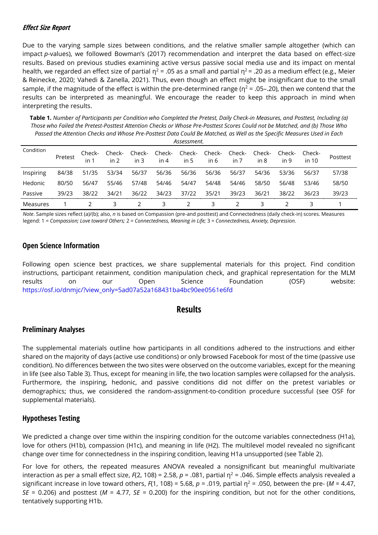#### **Effect Size Report**

Due to the varying sample sizes between conditions, and the relative smaller sample altogether (which can impact *p*-values), we followed Bowman's (2017) recommendation and interpret the data based on effect-size results. Based on previous studies examining active versus passive social media use and its impact on mental health, we regarded an effect size of partial  $\eta^2$  = .05 as a small and partial  $\eta^2$  = .20 as a medium effect (e.g., Meier & Reinecke, 2020; Vahedi & Zanella, 2021). Thus, even though an effect might be insignificant due to the small sample, if the magnitude of the effect is within the pre-determined range ( $\eta^2$  = .05–.20), then we contend that the results can be interpreted as meaningful. We encourage the reader to keep this approach in mind when interpreting the results.

**Table 1.** *Number of Participants per Condition who Completed the Pretest, Daily Check-in Measures, and Posttest, Including (a) Those who Failed the Pretest-Posttest Attention Checks or Whose Pre-Posttest Scores Could not be Matched, and (b) Those Who Passed the Attention Checks and Whose Pre-Posttest Data Could Be Matched, as Well as the Specific Measures Used in Each Assessment.*

| Condition | Pretest | Check-<br>in 1 | Check-<br>in 2 | Check-<br>in $3$ | Check-<br>in $4$ | in 5  | Check- Check-<br>in 6 | Check- Check-<br>in 7 | in 8  | Check-<br>in 9 | Check-<br>in 10 | Posttest |
|-----------|---------|----------------|----------------|------------------|------------------|-------|-----------------------|-----------------------|-------|----------------|-----------------|----------|
| Inspiring | 84/38   | 51/35          | 53/34          | 56/37            | 56/36            | 56/36 | 56/36                 | 56/37                 | 54/36 | 53/36          | 56/37           | 57/38    |
| Hedonic   | 80/50   | 56/47          | 55/46          | 57/48            | 54/46            | 54/47 | 54/48                 | 54/46                 | 58/50 | 56/48          | 53/46           | 58/50    |
| Passive   | 39/23   | 38/22          | 34/21          | 36/22            | 34/23            | 37/22 | 35/21                 | 39/23                 | 36/21 | 38/22          | 36/23           | 39/23    |
| Measures  |         |                |                |                  | 3                |       | 3                     |                       |       |                |                 |          |

*Note*. Sample sizes reflect (a)/(b); also, *n* is based on Compassion (pre-and posttest) and Connectedness (daily check-in) scores. Measures legend: 1 = *Compassion; Love toward Others;* 2 = *Connectedness, Meaning in Life;* 3 = *Connectedness, Anxiety, Depression.*

#### **Open Science Information**

Following open science best practices, we share supplemental materials for this project. Find condition instructions, participant retainment, condition manipulation check, and graphical representation for the MLM results on our Open Science Foundation (OSF) website: [https://osf.io/dnmjc/?view\\_only=5ad07a52a168431ba4bc90ee0561e6fd](https://osf.io/dnmjc/?view_only=5ad07a52a168431ba4bc90ee0561e6fd)

#### **Results**

#### **Preliminary Analyses**

The supplemental materials outline how participants in all conditions adhered to the instructions and either shared on the majority of days (active use conditions) or only browsed Facebook for most of the time (passive use condition). No differences between the two sites were observed on the outcome variables, except for the meaning in life (see also Table 3). Thus, except for meaning in life, the two location samples were collapsed for the analysis. Furthermore, the inspiring, hedonic, and passive conditions did not differ on the pretest variables or demographics; thus, we considered the random-assignment-to-condition procedure successful (see OSF for supplemental materials).

#### **Hypotheses Testing**

We predicted a change over time within the inspiring condition for the outcome variables connectedness (H1a), love for others (H1b), compassion (H1c), and meaning in life (H2). The multilevel model revealed no significant change over time for connectedness in the inspiring condition, leaving H1a unsupported (see Table 2).

For love for others, the repeated measures ANOVA revealed a nonsignificant but meaningful multivariate interaction as per a small effect size,  $F(2, 108) = 2.58$ ,  $p = .081$ , partial  $\eta^2 = .046$ . Simple effects analysis revealed a significant increase in love toward others,  $F(1, 108) = 5.68$ ,  $p = .019$ , partial  $\eta^2 = .050$ , between the pre- (*M = 4.47*, *SE* = 0.206) and posttest (*M* = 4.77, *SE* = 0.200) for the inspiring condition, but not for the other conditions, tentatively supporting H1b.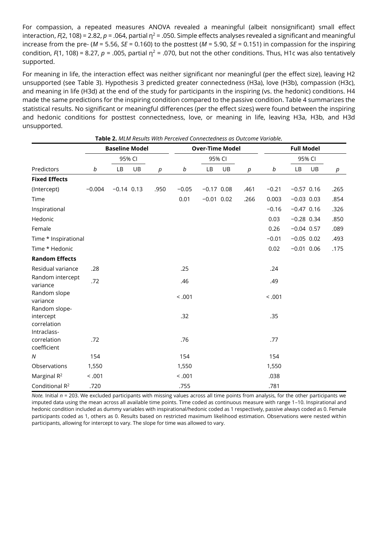For compassion, a repeated measures ANOVA revealed a meaningful (albeit nonsignificant) small effect interaction,  $F(2, 108) = 2.82$ ,  $p = .064$ , partial  $p^2 = .050$ . Simple effects analyses revealed a significant and meaningful increase from the pre- ( $M = 5.56$ ,  $SE = 0.160$ ) to the posttest ( $M = 5.90$ ,  $SE = 0.151$ ) in compassion for the inspiring condition,  $F(1, 108) = 8.27$ ,  $p = .005$ , partial  $p^2 = .070$ , but not the other conditions. Thus, H1c was also tentatively supported.

For meaning in life, the interaction effect was neither significant nor meaningful (per the effect size), leaving H2 unsupported (see Table 3). Hypothesis 3 predicted greater connectedness (H3a), love (H3b), compassion (H3c), and meaning in life (H3d) at the end of the study for participants in the inspiring (vs. the hedonic) conditions. H4 made the same predictions for the inspiring condition compared to the passive condition. Table 4 summarizes the statistical results. No significant or meaningful differences (per the effect sizes) were found between the inspiring and hedonic conditions for posttest connectedness, love, or meaning in life, leaving H3a, H3b, and H3d unsupported.

| Table 2. MLM Results With Perceived Connectedness as Outcome Variable. |          |                       |    |      |         |                        |    |      |                   |              |    |      |  |
|------------------------------------------------------------------------|----------|-----------------------|----|------|---------|------------------------|----|------|-------------------|--------------|----|------|--|
|                                                                        |          | <b>Baseline Model</b> |    |      |         | <b>Over-Time Model</b> |    |      | <b>Full Model</b> |              |    |      |  |
|                                                                        |          | 95% CI                |    |      |         | 95% CI                 |    |      |                   | 95% CI       |    |      |  |
| Predictors                                                             | b        | LB                    | UB | p    | b       | LB                     | UB | p    | b                 | <b>LB</b>    | UB | р    |  |
| <b>Fixed Effects</b>                                                   |          |                       |    |      |         |                        |    |      |                   |              |    |      |  |
| (Intercept)                                                            | $-0.004$ | $-0.14$ 0.13          |    | .950 | $-0.05$ | $-0.17$ 0.08           |    | .461 | $-0.21$           | $-0.57$ 0.16 |    | .265 |  |
| Time                                                                   |          |                       |    |      | 0.01    | $-0.01$ 0.02           |    | .266 | 0.003             | $-0.03$ 0.03 |    | .854 |  |
| Inspirational                                                          |          |                       |    |      |         |                        |    |      | $-0.16$           | $-0.47$ 0.16 |    | .326 |  |
| Hedonic                                                                |          |                       |    |      |         |                        |    |      | 0.03              | $-0.28$ 0.34 |    | .850 |  |
| Female                                                                 |          |                       |    |      |         |                        |    |      | 0.26              | $-0.04$ 0.57 |    | .089 |  |
| Time * Inspirational                                                   |          |                       |    |      |         |                        |    |      | $-0.01$           | $-0.05$ 0.02 |    | .493 |  |
| Time * Hedonic                                                         |          |                       |    |      |         |                        |    |      | 0.02              | $-0.01$ 0.06 |    | .175 |  |
| <b>Random Effects</b>                                                  |          |                       |    |      |         |                        |    |      |                   |              |    |      |  |
| Residual variance                                                      | .28      |                       |    |      | .25     |                        |    |      | .24               |              |    |      |  |
| Random intercept<br>variance                                           | .72      |                       |    |      | .46     |                        |    |      | .49               |              |    |      |  |
| Random slope<br>variance<br>Random slope-                              |          |                       |    |      | < 0.001 |                        |    |      | < .001            |              |    |      |  |
| intercept<br>correlation                                               |          |                       |    |      | .32     |                        |    |      | .35               |              |    |      |  |
| Intraclass-<br>correlation<br>coefficient                              | .72      |                       |    |      | .76     |                        |    |      | .77               |              |    |      |  |
| N                                                                      | 154      |                       |    |      | 154     |                        |    |      | 154               |              |    |      |  |
| Observations                                                           | 1,550    |                       |    |      | 1,550   |                        |    |      | 1,550             |              |    |      |  |
| Marginal $R^2$                                                         | < .001   |                       |    |      | < .001  |                        |    |      | .038              |              |    |      |  |
| Conditional R <sup>2</sup>                                             | .720     |                       |    |      | .755    |                        |    |      | .781              |              |    |      |  |

*Note.* Initial *n* = 203. We excluded participants with missing values across all time points from analysis, for the other participants we imputed data using the mean across all available time points. Time coded as continuous measure with range 1–10. Inspirational and hedonic condition included as dummy variables with inspirational/hedonic coded as 1 respectively, passive always coded as 0. Female participants coded as 1, others as 0. Results based on restricted maximum likelihood estimation. Observations were nested within participants, allowing for intercept to vary. The slope for time was allowed to vary.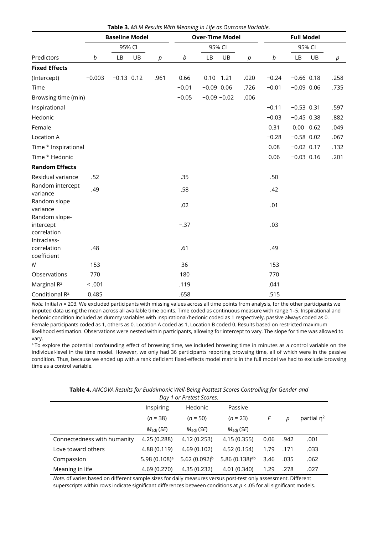|                                                          |          | <b>Baseline Model</b> |    |                  |         | <b>Over-Time Model</b> |    |                  | <b>Full Model</b> |              |               |      |  |
|----------------------------------------------------------|----------|-----------------------|----|------------------|---------|------------------------|----|------------------|-------------------|--------------|---------------|------|--|
|                                                          | 95% CI   |                       |    |                  |         | 95% CI                 |    | 95% CI           |                   |              |               |      |  |
| Predictors                                               | b        | LB                    | UB | $\boldsymbol{p}$ | b       | LB                     | UB | $\boldsymbol{p}$ | b                 | LB           | UB            | р    |  |
| <b>Fixed Effects</b>                                     |          |                       |    |                  |         |                        |    |                  |                   |              |               |      |  |
| (Intercept)                                              | $-0.003$ | $-0.13$ 0.12          |    | .961             | 0.66    | $0.10$ 1.21            |    | .020             | $-0.24$           | $-0.66$ 0.18 |               | .258 |  |
| Time                                                     |          |                       |    |                  | $-0.01$ | $-0.09$ 0.06           |    | .726             | $-0.01$           | $-0.09$ 0.06 |               | .735 |  |
| Browsing time (min)                                      |          |                       |    |                  | $-0.05$ | $-0.09 - 0.02$         |    | .006             |                   |              |               |      |  |
| Inspirational                                            |          |                       |    |                  |         |                        |    |                  | $-0.11$           | $-0.53$ 0.31 |               | .597 |  |
| Hedonic                                                  |          |                       |    |                  |         |                        |    |                  | $-0.03$           | $-0.45$ 0.38 |               | .882 |  |
| Female                                                   |          |                       |    |                  |         |                        |    |                  | 0.31              |              | $0.00$ $0.62$ | .049 |  |
| Location A                                               |          |                       |    |                  |         |                        |    |                  | $-0.28$           | $-0.58$ 0.02 |               | .067 |  |
| Time * Inspirational                                     |          |                       |    |                  |         |                        |    |                  | 0.08              | $-0.02$ 0.17 |               | .132 |  |
| Time * Hedonic                                           |          |                       |    |                  |         |                        |    |                  | 0.06              | $-0.03$ 0.16 |               | .201 |  |
| <b>Random Effects</b>                                    |          |                       |    |                  |         |                        |    |                  |                   |              |               |      |  |
| Residual variance                                        | .52      |                       |    |                  | .35     |                        |    |                  | .50               |              |               |      |  |
| Random intercept<br>variance                             | .49      |                       |    |                  | .58     |                        |    |                  | .42               |              |               |      |  |
| Random slope<br>variance                                 |          |                       |    |                  | .02     |                        |    |                  | .01               |              |               |      |  |
| Random slope-<br>intercept<br>correlation<br>Intraclass- |          |                       |    |                  | $-.37$  |                        |    |                  | .03               |              |               |      |  |
| correlation<br>coefficient                               | .48      |                       |    |                  | .61     |                        |    |                  | .49               |              |               |      |  |
| N                                                        | 153      |                       |    |                  | 36      |                        |    |                  | 153               |              |               |      |  |
| Observations                                             | 770      |                       |    |                  | 180     |                        |    |                  | 770               |              |               |      |  |
| Marginal R <sup>2</sup>                                  | < .001   |                       |    |                  | .119    |                        |    |                  | .041              |              |               |      |  |
| Conditional R <sup>2</sup>                               | 0.485    |                       |    |                  | .658    |                        |    |                  | .515              |              |               |      |  |

**Table 3.** *MLM Results With Meaning in Life as Outcome Variable.*

*Note.* Initial *n* = 203. We excluded participants with missing values across all time points from analysis, for the other participants we imputed data using the mean across all available time points. Time coded as continuous measure with range 1–5. Inspirational and hedonic condition included as dummy variables with inspirational/hedonic coded as 1 respectively, passive always coded as 0. Female participants coded as 1, others as 0. Location A coded as 1, Location B coded 0. Results based on restricted maximum likelihood estimation. Observations were nested within participants, allowing for intercept to vary. The slope for time was allowed to vary.

<sup>a</sup>To explore the potential confounding effect of browsing time, we included browsing time in minutes as a control variable on the individual-level in the time model. However, we only had 36 participants reporting browsing time, all of which were in the passive condition. Thus, because we ended up with a rank deficient fixed-effects model matrix in the full model we had to exclude browsing time as a control variable.

**Table 4.** *ANCOVA Results for Eudaimonic Well-Being Posttest Scores Controlling for Gender and*

| Day 1 or Pretest Scores.    |                       |                       |                              |      |      |               |  |  |  |  |  |
|-----------------------------|-----------------------|-----------------------|------------------------------|------|------|---------------|--|--|--|--|--|
|                             | Inspiring             | Hedonic               | Passive                      |      |      |               |  |  |  |  |  |
|                             | $(n = 38)$            | $(n = 50)$            | $(n = 23)$                   | F    | р    | partial $n^2$ |  |  |  |  |  |
|                             | $M_{\text{adi}}$ (SE) | $M_{\text{adi}}$ (SE) | $M_{\text{adi}}$ (SE)        |      |      |               |  |  |  |  |  |
| Connectedness with humanity | 4.25 (0.288)          | 4.12 (0.253)          | 4.15 (0.355)                 | 0.06 | .942 | .001          |  |  |  |  |  |
| Love toward others          | 4.88 (0.119)          | 4.69 (0.102)          | 4.52 (0.154)                 | 1.79 | .171 | .033          |  |  |  |  |  |
| Compassion                  | 5.98 $(0.108)^a$      | 5.62 $(0.092)^{b}$    | 5.86 $(0.138)$ <sup>ab</sup> | 3.46 | .035 | .062          |  |  |  |  |  |
| Meaning in life             | 4.69 (0.270)          | 4.35 (0.232)          | 4.01 (0.340)                 | 1.29 | .278 | .027          |  |  |  |  |  |

*Note*. df varies based on different sample sizes for daily measures versus post-test only assessment. Different superscripts within rows indicate significant differences between conditions at *p* < .05 for all significant models.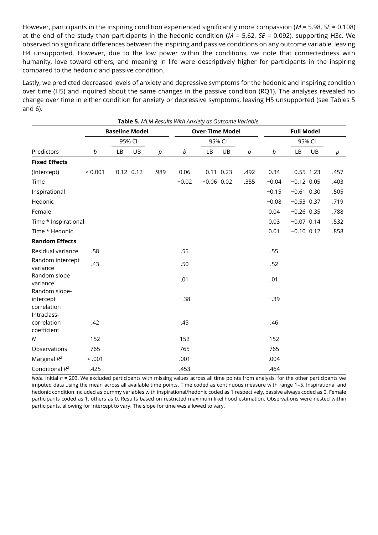However, participants in the inspiring condition experienced significantly more compassion (*M* = 5.98, *SE* = 0.108) at the end of the study than participants in the hedonic condition (*M* = 5.62, *SE* = 0.092), supporting H3c. We observed no significant differences between the inspiring and passive conditions on any outcome variable, leaving H4 unsupported. However, due to the low power within the conditions, we note that connectedness with humanity, love toward others, and meaning in life were descriptively higher for participants in the inspiring compared to the hedonic and passive condition.

Lastly, we predicted decreased levels of anxiety and depressive symptoms for the hedonic and inspiring condition over time (H5) and inquired about the same changes in the passive condition (RQ1). The analyses revealed no change over time in either condition for anxiety or depressive symptoms, leaving H5 unsupported (see Tables 5 and 6).

|                            |         | <b>Baseline Model</b> |    |        | <b>Table 5.</b> MEM Results With Anxiety as Outcome variable. | <b>Over-Time Model</b> |    |                  | <b>Full Model</b> |              |    |        |  |
|----------------------------|---------|-----------------------|----|--------|---------------------------------------------------------------|------------------------|----|------------------|-------------------|--------------|----|--------|--|
|                            | 95% CI  |                       |    |        | 95% CI                                                        |                        |    |                  |                   | 95% CI       |    |        |  |
| Predictors                 | b       | LB                    | UB | $\rho$ | $\it{b}$                                                      | LB                     | UB | $\boldsymbol{p}$ | b                 | <b>LB</b>    | UB | $\rho$ |  |
| <b>Fixed Effects</b>       |         |                       |    |        |                                                               |                        |    |                  |                   |              |    |        |  |
| (Intercept)                | < 0.001 | $-0.12$ 0.12          |    | .989   | 0.06                                                          | $-0.11$ 0.23           |    | .492             | 0.34              | $-0.55$ 1.23 |    | .457   |  |
| Time                       |         |                       |    |        | $-0.02$                                                       | $-0.06$ 0.02           |    | .355             | $-0.04$           | $-0.12$ 0.05 |    | .403   |  |
| Inspirational              |         |                       |    |        |                                                               |                        |    |                  | $-0.15$           | $-0.61$ 0.30 |    | .505   |  |
| Hedonic                    |         |                       |    |        |                                                               |                        |    |                  | $-0.08$           | $-0.53$ 0.37 |    | .719   |  |
| Female                     |         |                       |    |        |                                                               |                        |    |                  | 0.04              | $-0.26$ 0.35 |    | .788   |  |
| Time * Inspirational       |         |                       |    |        |                                                               |                        |    |                  | 0.03              | $-0.07$ 0.14 |    | .532   |  |
| Time * Hedonic             |         |                       |    |        |                                                               |                        |    |                  | 0.01              | $-0.10$ 0.12 |    | .858   |  |
| <b>Random Effects</b>      |         |                       |    |        |                                                               |                        |    |                  |                   |              |    |        |  |
| Residual variance          | .58     |                       |    |        | .55                                                           |                        |    |                  | .55               |              |    |        |  |
| Random intercept           | .43     |                       |    |        | .50                                                           |                        |    |                  | .52               |              |    |        |  |
| variance<br>Random slope   |         |                       |    |        |                                                               |                        |    |                  |                   |              |    |        |  |
| variance                   |         |                       |    |        | .01                                                           |                        |    |                  | .01               |              |    |        |  |
| Random slope-              |         |                       |    |        |                                                               |                        |    |                  |                   |              |    |        |  |
| intercept                  |         |                       |    |        | $-.38$                                                        |                        |    |                  | $-.39$            |              |    |        |  |
| correlation                |         |                       |    |        |                                                               |                        |    |                  |                   |              |    |        |  |
| Intraclass-<br>correlation | .42     |                       |    |        | .45                                                           |                        |    |                  | .46               |              |    |        |  |
| coefficient                |         |                       |    |        |                                                               |                        |    |                  |                   |              |    |        |  |
| ${\cal N}$                 | 152     |                       |    |        | 152                                                           |                        |    |                  | 152               |              |    |        |  |
| Observations               | 765     |                       |    |        | 765                                                           |                        |    |                  | 765               |              |    |        |  |
| Marginal $R^2$             | < .001  |                       |    |        | .001                                                          |                        |    |                  | .004              |              |    |        |  |
| Conditional $R^2$          | .425    |                       |    |        | .453                                                          |                        |    |                  | .464              |              |    |        |  |

**Table 5.** *MLM Results With Anxiety as Outcome Variable.*

*Note.* Initial *n* = 203. We excluded participants with missing values across all time points from analysis, for the other participants we imputed data using the mean across all available time points. Time coded as continuous measure with range 1–5. Inspirational and hedonic condition included as dummy variables with inspirational/hedonic coded as 1 respectively, passive always coded as 0. Female participants coded as 1, others as 0. Results based on restricted maximum likelihood estimation. Observations were nested within participants, allowing for intercept to vary. The slope for time was allowed to vary.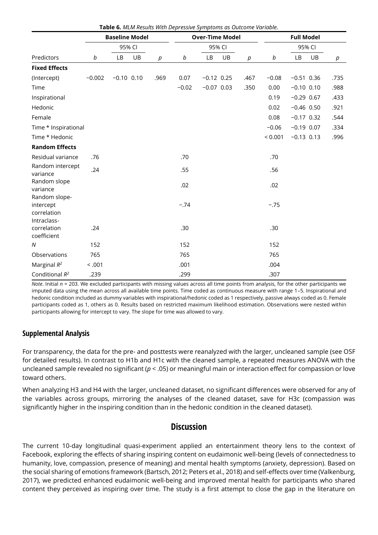|                                                          | <b>Baseline Model</b> |              |        |        |         | <b>Over-Time Model</b> |    |      | <b>Full Model</b> |              |        |        |  |
|----------------------------------------------------------|-----------------------|--------------|--------|--------|---------|------------------------|----|------|-------------------|--------------|--------|--------|--|
|                                                          |                       |              | 95% CI |        |         | 95% CI                 |    |      |                   |              | 95% CI |        |  |
| Predictors                                               | b                     | LB           | UB     | $\rho$ | b       | LB                     | UB | p    | b                 | LB           | UB     | $\rho$ |  |
| <b>Fixed Effects</b>                                     |                       |              |        |        |         |                        |    |      |                   |              |        |        |  |
| (Intercept)                                              | $-0.002$              | $-0.10$ 0.10 |        | .969   | 0.07    | $-0.12$ 0.25           |    | .467 | $-0.08$           | $-0.51$ 0.36 |        | .735   |  |
| Time                                                     |                       |              |        |        | $-0.02$ | $-0.07$ 0.03           |    | .350 | 0.00              | $-0.10$ 0.10 |        | .988   |  |
| Inspirational                                            |                       |              |        |        |         |                        |    |      | 0.19              | $-0.29$ 0.67 |        | .433   |  |
| Hedonic                                                  |                       |              |        |        |         |                        |    |      | 0.02              | $-0.46$ 0.50 |        | .921   |  |
| Female                                                   |                       |              |        |        |         |                        |    |      | 0.08              | $-0.17$ 0.32 |        | .544   |  |
| Time * Inspirational                                     |                       |              |        |        |         |                        |    |      | $-0.06$           | $-0.19$ 0.07 |        | .334   |  |
| Time * Hedonic                                           |                       |              |        |        |         |                        |    |      | < 0.001           | $-0.13$ 0.13 |        | .996   |  |
| <b>Random Effects</b>                                    |                       |              |        |        |         |                        |    |      |                   |              |        |        |  |
| Residual variance                                        | .76                   |              |        |        | .70     |                        |    |      | .70               |              |        |        |  |
| Random intercept<br>variance                             | .24                   |              |        |        | .55     |                        |    |      | .56               |              |        |        |  |
| Random slope<br>variance                                 |                       |              |        |        | .02     |                        |    |      | .02               |              |        |        |  |
| Random slope-<br>intercept<br>correlation<br>Intraclass- |                       |              |        |        | $-.74$  |                        |    |      | $-.75$            |              |        |        |  |
| correlation<br>coefficient                               | .24                   |              |        |        | .30     |                        |    |      | .30               |              |        |        |  |
| N                                                        | 152                   |              |        |        | 152     |                        |    |      | 152               |              |        |        |  |
| Observations                                             | 765                   |              |        |        | 765     |                        |    |      | 765               |              |        |        |  |
| Marginal $R^2$                                           | < .001                |              |        |        | .001    |                        |    |      | .004              |              |        |        |  |
| Conditional $R^2$                                        | .239                  |              |        |        | .299    |                        |    |      | .307              |              |        |        |  |

**Table 6.** *MLM Results With Depressive Symptoms as Outcome Variable.*

*Note*. Initial *n* = 203. We excluded participants with missing values across all time points from analysis, for the other participants we imputed data using the mean across all available time points. Time coded as continuous measure with range 1–5. Inspirational and hedonic condition included as dummy variables with inspirational/hedonic coded as 1 respectively, passive always coded as 0. Female participants coded as 1, others as 0. Results based on restricted maximum likelihood estimation. Observations were nested within participants allowing for intercept to vary. The slope for time was allowed to vary.

#### **Supplemental Analysis**

For transparency, the data for the pre- and posttests were reanalyzed with the larger, uncleaned sample (see OSF for detailed results). In contrast to H1b and H1c with the cleaned sample, a repeated measures ANOVA with the uncleaned sample revealed no significant (*p* < .05) or meaningful main or interaction effect for compassion or love toward others.

When analyzing H3 and H4 with the larger, uncleaned dataset, no significant differences were observed for any of the variables across groups, mirroring the analyses of the cleaned dataset, save for H3c (compassion was significantly higher in the inspiring condition than in the hedonic condition in the cleaned dataset).

# **Discussion**

The current 10-day longitudinal quasi-experiment applied an entertainment theory lens to the context of Facebook, exploring the effects of sharing inspiring content on eudaimonic well-being (levels of connectedness to humanity, love, compassion, presence of meaning) and mental health symptoms (anxiety, depression). Based on the social sharing of emotions framework (Bartsch, 2012; Peters et al., 2018) and self-effects over time (Valkenburg, 2017), we predicted enhanced eudaimonic well-being and improved mental health for participants who shared content they perceived as inspiring over time. The study is a first attempt to close the gap in the literature on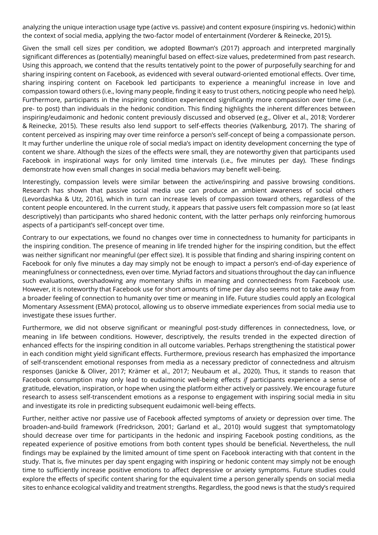analyzing the unique interaction usage type (active vs. passive) and content exposure (inspiring vs. hedonic) within the context of social media, applying the two-factor model of entertainment (Vorderer & Reinecke, 2015).

Given the small cell sizes per condition, we adopted Bowman's (2017) approach and interpreted marginally significant differences as (potentially) meaningful based on effect-size values, predetermined from past research. Using this approach, we contend that the results tentatively point to the power of purposefully searching for and sharing inspiring content on Facebook, as evidenced with several outward-oriented emotional effects. Over time, sharing inspiring content on Facebook led participants to experience a meaningful increase in love and compassion toward others (i.e., loving many people, finding it easy to trust others, noticing people who need help). Furthermore, participants in the inspiring condition experienced significantly more compassion over time (i.e., pre- to post) than individuals in the hedonic condition. This finding highlights the inherent differences between inspiring/eudaimonic and hedonic content previously discussed and observed (e.g., Oliver et al., 2018; Vorderer & Reinecke, 2015). These results also lend support to self-effects theories (Valkenburg, 2017). The sharing of content perceived as inspiring may over time reinforce a person's self-concept of being a compassionate person. It may further underline the unique role of social media's impact on identity development concerning the type of content we share. Although the sizes of the effects were small, they are noteworthy given that participants used Facebook in inspirational ways for only limited time intervals (i.e., five minutes per day). These findings demonstrate how even small changes in social media behaviors may benefit well-being.

Interestingly, compassion levels were similar between the active/inspiring and passive browsing conditions. Research has shown that passive social media use can produce an ambient awareness of social others (Levordashka & Utz, 2016), which in turn can increase levels of compassion toward others, regardless of the content people encountered. In the current study, it appears that passive users felt compassion more so (at least descriptively) than participants who shared hedonic content, with the latter perhaps only reinforcing humorous aspects of a participant's self-concept over time.

Contrary to our expectations, we found no changes over time in connectedness to humanity for participants in the inspiring condition. The presence of meaning in life trended higher for the inspiring condition, but the effect was neither significant nor meaningful (per effect size). It is possible that finding and sharing inspiring content on Facebook for only five minutes a day may simply not be enough to impact a person's end-of-day experience of meaningfulness or connectedness, even over time. Myriad factors and situations throughout the day can influence such evaluations, overshadowing any momentary shifts in meaning and connectedness from Facebook use. However, it is noteworthy that Facebook use for short amounts of time per day also seems not to take away from a broader feeling of connection to humanity over time or meaning in life. Future studies could apply an Ecological Momentary Assessment (EMA) protocol, allowing us to observe immediate experiences from social media use to investigate these issues further.

Furthermore, we did not observe significant or meaningful post-study differences in connectedness, love, or meaning in life between conditions. However, descriptively, the results trended in the expected direction of enhanced effects for the inspiring condition in all outcome variables. Perhaps strengthening the statistical power in each condition might yield significant effects. Furthermore, previous research has emphasized the importance of self-transcendent emotional responses from media as a necessary predictor of connectedness and altruism responses (Janicke & Oliver, 2017; Krämer et al., 2017; Neubaum et al., 2020). Thus, it stands to reason that Facebook consumption may only lead to eudaimonic well-being effects *if* participants experience a sense of gratitude, elevation, inspiration, or hope when using the platform either actively or passively. We encourage future research to assess self-transcendent emotions as a response to engagement with inspiring social media in situ and investigate its role in predicting subsequent eudaimonic well-being effects.

Further, neither active nor passive use of Facebook affected symptoms of anxiety or depression over time. The broaden-and-build framework (Fredrickson, 2001; Garland et al., 2010) would suggest that symptomatology should decrease over time for participants in the hedonic and inspiring Facebook posting conditions, as the repeated experience of positive emotions from both content types should be beneficial. Nevertheless, the null findings may be explained by the limited amount of time spent on Facebook interacting with that content in the study. That is, five minutes per day spent engaging with inspiring or hedonic content may simply not be enough time to sufficiently increase positive emotions to affect depressive or anxiety symptoms. Future studies could explore the effects of specific content sharing for the equivalent time a person generally spends on social media sites to enhance ecological validity and treatment strengths. Regardless, the good news is that the study's required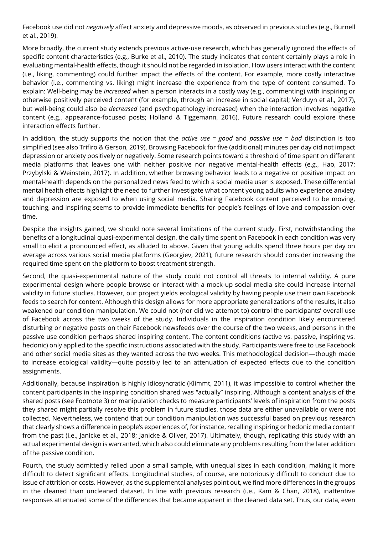Facebook use did not *negatively* affect anxiety and depressive moods, as observed in previous studies (e.g., Burnell et al., 2019).

More broadly, the current study extends previous active-use research, which has generally ignored the effects of specific content characteristics (e.g., Burke et al., 2010). The study indicates that content certainly plays a role in evaluating mental-health effects, though it should not be regarded in isolation. How users interact with the content (i.e., liking, commenting) could further impact the effects of the content. For example, more costly interactive behavior (i.e., commenting vs. liking) might increase the experience from the type of content consumed. To explain: Well-being may be *increased* when a person interacts in a costly way (e.g., commenting) with inspiring or otherwise positively perceived content (for example, through an increase in social capital; Verduyn et al., 2017), but well-being could also be *decreased* (and psychopathology increased) when the interaction involves negative content (e.g., appearance-focused posts; Holland & Tiggemann, 2016). Future research could explore these interaction effects further.

In addition, the study supports the notion that the *active use = good* and *passive use = bad* distinction is too simplified (see also Trifiro & Gerson, 2019). Browsing Facebook for five (additional) minutes per day did not impact depression or anxiety positively or negatively. Some research points toward a threshold of time spent on different media platforms that leaves one with neither positive nor negative mental-health effects (e.g., Hao, 2017; Przybylski & Weinstein, 2017). In addition, whether browsing behavior leads to a negative or positive impact on mental-health depends on the personalized news feed to which a social media user is exposed. These differential mental health effects highlight the need to further investigate what content young adults who experience anxiety and depression are exposed to when using social media. Sharing Facebook content perceived to be moving, touching, and inspiring seems to provide immediate benefits for people's feelings of love and compassion over time.

Despite the insights gained, we should note several limitations of the current study. First, notwithstanding the benefits of a longitudinal quasi-experimental design, the daily time spent on Facebook in each condition was very small to elicit a pronounced effect, as alluded to above. Given that young adults spend three hours per day on average across various social media platforms (Georgiev, 2021), future research should consider increasing the required time spent on the platform to boost treatment strength.

Second, the quasi-experimental nature of the study could not control all threats to internal validity. A pure experimental design where people browse or interact with a mock-up social media site could increase internal validity in future studies. However, our project yields ecological validity by having people use their own Facebook feeds to search for content. Although this design allows for more appropriate generalizations of the results, it also weakened our condition manipulation. We could not (nor did we attempt to) control the participants' overall use of Facebook across the two weeks of the study. Individuals in the inspiration condition likely encountered disturbing or negative posts on their Facebook newsfeeds over the course of the two weeks, and persons in the passive use condition perhaps shared inspiring content. The content conditions (active vs. passive, inspiring vs. hedonic) only applied to the specific instructions associated with the study. Participants were free to use Facebook and other social media sites as they wanted across the two weeks. This methodological decision—though made to increase ecological validity—quite possibly led to an attenuation of expected effects due to the condition assignments.

Additionally, because inspiration is highly idiosyncratic (Klimmt, 2011), it was impossible to control whether the content participants in the inspiring condition shared was "actually" inspiring. Although a content analysis of the shared posts (see Footnote 3) or manipulation checks to measure participants' levels of inspiration from the posts they shared might partially resolve this problem in future studies, those data are either unavailable or were not collected. Nevertheless, we contend that our condition manipulation was successful based on previous research that clearly shows a difference in people's experiences of, for instance, recalling inspiring or hedonic media content from the past (i.e., Janicke et al., 2018; Janicke & Oliver, 2017). Ultimately, though, replicating this study with an actual experimental design is warranted, which also could eliminate any problems resulting from the later addition of the passive condition.

Fourth, the study admittedly relied upon a small sample, with unequal sizes in each condition, making it more difficult to detect significant effects. Longitudinal studies, of course, are notoriously difficult to conduct due to issue of attrition or costs. However, as the supplemental analyses point out, we find more differences in the groups in the cleaned than uncleaned dataset. In line with previous research (i.e., Kam & Chan, 2018), inattentive responses attenuated some of the differences that became apparent in the cleaned data set. Thus, our data, even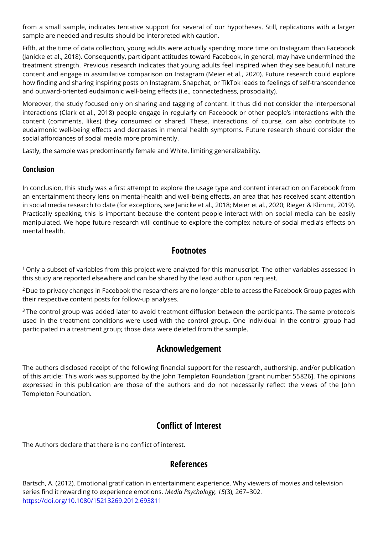from a small sample, indicates tentative support for several of our hypotheses. Still, replications with a larger sample are needed and results should be interpreted with caution.

Fifth, at the time of data collection, young adults were actually spending more time on Instagram than Facebook (Janicke et al., 2018). Consequently, participant attitudes toward Facebook, in general, may have undermined the treatment strength. Previous research indicates that young adults feel inspired when they see beautiful nature content and engage in assimilative comparison on Instagram (Meier et al., 2020). Future research could explore how finding and sharing inspiring posts on Instagram, Snapchat, or TikTok leads to feelings of self-transcendence and outward-oriented eudaimonic well-being effects (i.e., connectedness, prosociality).

Moreover, the study focused only on sharing and tagging of content. It thus did not consider the interpersonal interactions (Clark et al., 2018) people engage in regularly on Facebook or other people's interactions with the content (comments, likes) they consumed or shared. These, interactions, of course, can also contribute to eudaimonic well-being effects and decreases in mental health symptoms. Future research should consider the social affordances of social media more prominently.

Lastly, the sample was predominantly female and White, limiting generalizability.

#### **Conclusion**

In conclusion, this study was a first attempt to explore the usage type and content interaction on Facebook from an entertainment theory lens on mental-health and well-being effects, an area that has received scant attention in social media research to date (for exceptions, see Janicke et al., 2018; Meier et al., 2020; Rieger & Klimmt, 2019). Practically speaking, this is important because the content people interact with on social media can be easily manipulated. We hope future research will continue to explore the complex nature of social media's effects on mental health.

# **Footnotes**

 $1$  Only a subset of variables from this project were analyzed for this manuscript. The other variables assessed in this study are reported elsewhere and can be shared by the lead author upon request.

<sup>2</sup>Due to privacy changes in Facebook the researchers are no longer able to access the Facebook Group pages with their respective content posts for follow-up analyses.

<sup>3</sup>The control group was added later to avoid treatment diffusion between the participants. The same protocols used in the treatment conditions were used with the control group. One individual in the control group had participated in a treatment group; those data were deleted from the sample.

# **Acknowledgement**

The authors disclosed receipt of the following financial support for the research, authorship, and/or publication of this article: This work was supported by the John Templeton Foundation [grant number 55826]. The opinions expressed in this publication are those of the authors and do not necessarily reflect the views of the John Templeton Foundation.

# **Conflict of Interest**

The Authors declare that there is no conflict of interest.

# **References**

Bartsch, A. (2012). Emotional gratification in entertainment experience. Why viewers of movies and television series find it rewarding to experience emotions. *Media Psychology, 15*(3), 267–302. <https://doi.org/10.1080/15213269.2012.693811>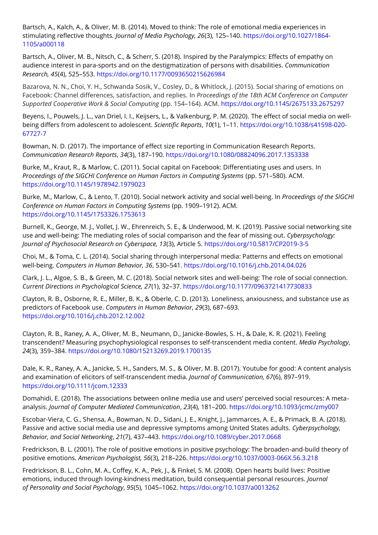Bartsch, A., Kalch, A., & Oliver, M. B. (2014). Moved to think: The role of emotional media experiences in stimulating reflective thoughts*. Journal of Media Psychology, 26*(3), 125–140. [https://doi.org/10.1027/1864-](https://doi.org/10.1027/1864-1105/a000118) [1105/a000118](https://doi.org/10.1027/1864-1105/a000118)

Bartsch, A., Oliver, M. B., Nitsch, C., & Scherr, S. (2018). Inspired by the Paralympics: Effects of empathy on audience interest in para-sports and on the destigmatization of persons with disabilities. *Communication Research, 45*(4), 525–553.<https://doi.org/10.1177/0093650215626984>

Bazarova, N. N., Choi, Y. H., Schwanda Sosik, V., Cosley, D., & Whitlock, J. (2015). Social sharing of emotions on Facebook: Channel differences, satisfaction, and replies. In *Proceedings of the 18th ACM Conference on Computer Supported Cooperative Work & Social Computing* (pp. 154–164). ACM.<https://doi.org/10.1145/2675133.2675297>

Beyens, I., Pouwels, J. L., van Driel, I. I., Keijsers, L., & Valkenburg, P. M. (2020). The effect of social media on wellbeing differs from adolescent to adolescent. *Scientific Reports*, *10*(1), 1–11. [https://doi.org/10.1038/s41598-020-](https://doi.org/10.1038/s41598-020-67727-7) [67727-7](https://doi.org/10.1038/s41598-020-67727-7)

Bowman, N. D. (2017). The importance of effect size reporting in Communication Research Reports. *Communication Research Reports*, *34*(3), 187–190.<https://doi.org/10.1080/08824096.2017.1353338>

Burke, M., Kraut, R., & Marlow, C. (2011). Social capital on Facebook: Differentiating uses and users. In *Proceedings of the SIGCHI Conference on Human Factors in Computing Systems* (pp. 571–580). ACM. <https://doi.org/10.1145/1978942.1979023>

Burke, M., Marlow, C., & Lento, T. (2010). Social network activity and social well-being. In *Proceedings of the SIGCHI Conference on Human Factors in Computing Systems* (pp. 1909–1912). ACM. <https://doi.org/10.1145/1753326.1753613>

Burnell, K., George, M. J., Vollet, J. W., Ehrenreich, S. E., & Underwood, M. K. (2019). Passive social networking site use and well-being: The mediating roles of social comparison and the fear of missing out. *Cyberpsychology: Journal of Psychosocial Research on Cyberspace, 13*(3), Article 5[.](%20) [https://doi.org/10.5817/CP2019-3-5](%20)

Choi, M., & Toma, C. L. (2014). Social sharing through interpersonal media: Patterns and effects on emotional well-being. *Computers in Human Behavior, 36*, 530–541.<https://doi.org/10.1016/j.chb.2014.04.026>

Clark, J. L., Algoe, S. B., & Green, M. C. (2018). Social network sites and well-being: The role of social connection. *Current Directions in Psychological Science, 27*(1), 32–37. <https://doi.org/10.1177/0963721417730833>

Clayton, R. B., Osborne, R. E., Miller, B. K., & Oberle, C. D. (2013). Loneliness, anxiousness, and substance use as predictors of Facebook use. *Computers in Human Behavior*, *29*(3), 687–693. <https://doi.org/10.1016/j.chb.2012.12.002>

Clayton, R. B., Raney, A. A., Oliver, M. B., Neumann, D., Janicke-Bowles, S. H., & Dale, K. R. (2021). Feeling transcendent? Measuring psychophysiological responses to self-transcendent media content. *Media Psychology*, *24*(3), 359–384[. https://doi.org/10.1080/15213269.2019.1700135](https://doi.org/10.1080/15213269.2019.1700135)

Dale, K. R., Raney, A. A., Janicke, S. H., Sanders, M. S., & Oliver, M. B. (2017). Youtube for good: A content analysis and examination of elicitors of self-transcendent media. *Journal of Communication, 67*(6), 897–919[.](http://onlinelibrary.wiley.com/doi/10.1111/jcom.12333/full) https://doi.org[/10.1111/jcom.12333](https://doi.org/10.1111/jcom.12333)

Domahidi, E. (2018). The associations between online media use and users' perceived social resources: A metaanalysis. *Journal of Computer Mediated Communication*, *23*(4), 181–200. <https://doi.org/10.1093/jcmc/zmy007>

Escobar-Viera, C. G., Shensa, A., Bowman, N. D., Sidani, J. E., Knight, J., Jammarces, A. E., & Primack, B. A. (2018). Passive and active social media use and depressive symptoms among United States adults. *Cyberpsychology, Behavior, and Social Networking*, *21*(7), 437–443.<https://doi.org/10.1089/cyber.2017.0668>

Fredrickson, B. L. (2001). The role of positive emotions in positive psychology: The broaden-and-build theory of positive emotions. *American Psychologist, 56*(3), 218–226.<https://doi.org/10.1037/0003-066X.56.3.218>

Fredrickson, B. L., Cohn, M. A., Coffey, K. A., Pek, J., & Finkel, S. M. (2008). Open hearts build lives: Positive emotions, induced through loving-kindness meditation, build consequential personal resources. *Journal of Personality and Social Psychology*, *95*(5), 1045–1062.<https://doi.org/10.1037/a0013262>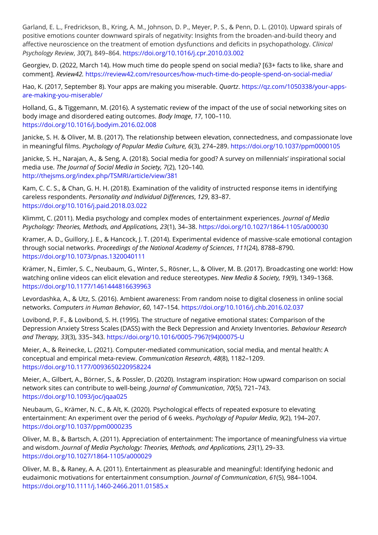Garland, E. L., Fredrickson, B., Kring, A. M., Johnson, D. P., Meyer, P. S., & Penn, D. L. (2010). Upward spirals of positive emotions counter downward spirals of negativity: Insights from the broaden-and-build theory and affective neuroscience on the treatment of emotion dysfunctions and deficits in psychopathology. *Clinical Psychology Review*, *30*(7), 849–864.<https://doi.org/10.1016/j.cpr.2010.03.002>

Georgiev, D. (2022, March 14). How much time do people spend on social media? [63+ facts to like, share and comment]. *Review42.* [https://review42.com/resources/how-much-time-do-people-spend-on-social-media/](https://review42.com/how-much-time-do-people-spend-on-social-media/#:~:text=16%2D24%2Dyear%2Dolds,to%20be%20on%20social%20media)

Hao, K. (2017, September 8). Your apps are making you miserable. *Quartz*. [https://qz.com/1050338/your-apps](https://qz.com/1050338/your-apps-are-making-you-miserable/)[are-making-you-miserable/](https://qz.com/1050338/your-apps-are-making-you-miserable/)

Holland, G., & Tiggemann, M. (2016). A systematic review of the impact of the use of social networking sites on body image and disordered eating outcomes. *Body Image*, *17*, 100–110. <https://doi.org/10.1016/j.bodyim.2016.02.008>

Janicke, S. H. & Oliver, M. B. (2017). The relationship between elevation, connectedness, and compassionate love in meaningful films. *Psychology of Popular Media Culture, 6*(3), 274–289. [https://doi.org/10.1037/ppm0000105](http://psycnet.apa.org/doi/10.1037/ppm0000105)

Janicke, S. H., Narajan, A., & Seng, A. (2018). Social media for good? A survey on millennials' inspirational social media use. *The Journal of Social Media in Society, 7*(2), 120–140*[.](%20)* <http://thejsms.org/index.php/TSMRI/article/view/381>

Kam, C. C. S., & Chan, G. H. H. (2018). Examination of the validity of instructed response items in identifying careless respondents. *Personality and Individual Differences*, *129*, 83–87. <https://doi.org/10.1016/j.paid.2018.03.022>

Klimmt, C. (2011). Media psychology and complex modes of entertainment experiences. *Journal of Media Psychology: Theories, Methods, and Applications, 23*(1), 34–38.<https://doi.org/10.1027/1864-1105/a000030>

Kramer, A. D., Guillory, J. E., & Hancock, J. T. (2014). Experimental evidence of massive-scale emotional contagion through social networks. *Proceedings of the National Academy of Sciences*, *111*(24), 8788–8790. <https://doi.org/10.1073/pnas.1320040111>

Krämer, N., Eimler, S. C., Neubaum, G., Winter, S., Rösner, L., & Oliver, M. B. (2017). Broadcasting one world: How watching online videos can elicit elevation and reduce stereotypes. *New Media & Society, 19*(9), 1349–1368[.](https://doi.org/10.1177%2F1461444816639963) <https://doi.org/10.1177/1461444816639963>

Levordashka, A., & Utz, S. (2016). Ambient awareness: From random noise to digital closeness in online social networks. *Computers in Human Behavior*, *60*, 147–154.<https://doi.org/10.1016/j.chb.2016.02.037>

Lovibond, P. F., & Lovibond, S. H. (1995). The structure of negative emotional states: Comparison of the Depression Anxiety Stress Scales (DASS) with the Beck Depression and Anxiety Inventories. *Behaviour Research and Therapy, 33*(3), 335–343. [https://doi.org/10.1016/0005-7967\(94\)00075-U](https://doi.org/10.1016/0005-7967(94)00075-U)

Meier, A., & Reinecke, L. (2021). Computer-mediated communication, social media, and mental health: A conceptual and empirical meta-review. *Communication Research*, *48*(8), 1182–1209. <https://doi.org/10.1177/0093650220958224>

Meier, A., Gilbert, A., Börner, S., & Possler, D. (2020). Instagram inspiration: How upward comparison on social network sites can contribute to well-being. *Journal of Communication*, *70*(5), 721–743. <https://doi.org/10.1093/joc/jqaa025>

Neubaum, G., Krämer, N. C., & Alt, K. (2020). Psychological effects of repeated exposure to elevating entertainment: An experiment over the period of 6 weeks. *Psychology of Popular Media*, *9*(2), 194–207. <https://doi.org/10.1037/ppm0000235>

Oliver, M. B., & Bartsch, A. (2011). Appreciation of entertainment: The importance of meaningfulness via virtue and wisdom. *Journal of Media Psychology: Theories, Methods, and Applications, 23*(1), 29–33. <https://doi.org/10.1027/1864-1105/a000029>

Oliver, M. B., & Raney, A. A. (2011). Entertainment as pleasurable and meaningful: Identifying hedonic and eudaimonic motivations for entertainment consumption. *Journal of Communication*, *61*(5), 984–1004. <https://doi.org/10.1111/j.1460-2466.2011.01585.x>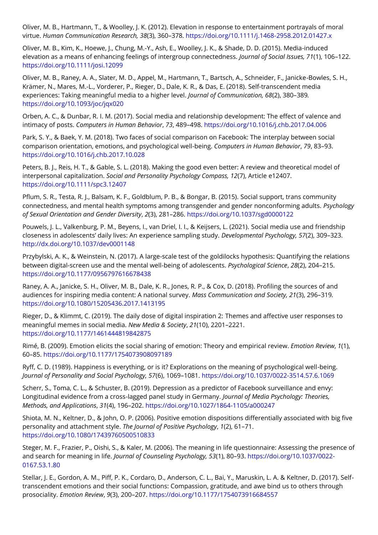Oliver, M. B., Hartmann, T., & Woolley, J. K. (2012). Elevation in response to entertainment portrayals of moral virtue. *Human Communication Research, 38*(3), 360–378.<https://doi.org/10.1111/j.1468-2958.2012.01427.x>

Oliver, M. B., Kim, K., Hoewe, J., Chung, M.-Y., Ash, E., Woolley, J. K., & Shade, D. D. (2015). Media-induced elevation as a means of enhancing feelings of intergroup connectedness. *Journal of Social Issues, 71*(1), 106–122. <https://doi.org/10.1111/josi.12099>

Oliver, M. B., Raney, A. A., Slater, M. D., Appel, M., Hartmann, T., Bartsch, A., Schneider, F., Janicke-Bowles, S. H., Krämer, N., Mares, M.-L., Vorderer, P., Rieger, D., Dale, K. R., & Das, E. (2018). Self-transcendent media experiences: Taking meaningful media to a higher level. *Journal of Communication, 68*(2), 380–389*.*  <https://doi.org/10.1093/joc/jqx020>

Orben, A. C., & Dunbar, R. I. M. (2017). Social media and relationship development: The effect of valence and intimacy of posts. *Computers in Human Behavior*, *73*, 489–498.<https://doi.org/10.1016/j.chb.2017.04.006>

Park, S. Y., & Baek, Y. M. (2018). Two faces of social comparison on Facebook: The interplay between social comparison orientation, emotions, and psychological well-being. *Computers in Human Behavior*, *79*, 83–93. <https://doi.org/10.1016/j.chb.2017.10.028>

Peters, B. J., Reis, H. T., & Gable, S. L. (2018). Making the good even better: A review and theoretical model of interpersonal capitalization. *Social and Personality Psychology Compass, 12*(7), Article e12407. <https://doi.org/10.1111/spc3.12407>

Pflum, S. R., Testa, R. J., Balsam, K. F., Goldblum, P. B., & Bongar, B. (2015). Social support, trans community connectedness, and mental health symptoms among transgender and gender nonconforming adults. *Psychology of Sexual Orientation and Gender Diversity*, *2*(3), 281–286.<https://doi.org/10.1037/sgd0000122>

Pouwels, J. L., Valkenburg, P. M., Beyens, I., van Driel, I. I., & Keijsers, L. (2021). Social media use and friendship closeness in adolescents' daily lives: An experience sampling study. *Developmental Psychology, 57*(2), 309–323. <http://dx.doi.org/10.1037/dev0001148>

Przybylski, A. K., & Weinstein, N. (2017). A large-scale test of the goldilocks hypothesis: Quantifying the relations between digital-screen use and the mental well-being of adolescents. *Psychological Science*, *28*(2), 204–215. <https://doi.org/10.1177/0956797616678438>

Raney, A. A., Janicke, S. H., Oliver, M. B., Dale, K. R., Jones, R. P., & Cox, D. (2018). Profiling the sources of and audiences for inspiring media content: A national survey. *Mass Communication and Society, 21*(3), 296–319*[.](https://doi.org/10.1080/15205436.2017.1413195)* <https://doi.org/10.1080/15205436.2017.1413195>

Rieger, D., & Klimmt, C. (2019). The daily dose of digital inspiration 2: Themes and affective user responses to meaningful memes in social media. *New Media & Society*, *21*(10), 2201–2221. <https://doi.org/10.1177/1461444819842875>

Rimé, B. (2009). Emotion elicits the social sharing of emotion: Theory and empirical review. *Emotion Review*, *1*(1), 60–85.<https://doi.org/10.1177/1754073908097189>

Ryff, C. D. (1989). Happiness is everything, or is it? Explorations on the meaning of psychological well-being. *Journal of Personality and Social Psychology, 57*(6), 1069–1081.<https://doi.org/10.1037/0022-3514.57.6.1069>

Scherr, S., Toma, C. L., & Schuster, B. (2019). Depression as a predictor of Facebook surveillance and envy: Longitudinal evidence from a cross-lagged panel study in Germany. *Journal of Media Psychology: Theories, Methods, and Applications*, *31*(4), 196–202.<https://doi.org/10.1027/1864-1105/a000247>

Shiota, M. N., Keltner, D., & John, O. P. (2006). Positive emotion dispositions differentially associated with big five personality and attachment style. *The Journal of Positive Psychology*, *1*(2), 61–71. <https://doi.org/10.1080/17439760500510833>

Steger, M. F., Frazier, P., Oishi, S., & Kaler, M. (2006). The meaning in life questionnaire: Assessing the presence of and search for meaning in life. *Journal of Counseling Psychology, 53*(1), 80–93. [https://doi.org/10.1037/0022-](https://doi.org/10.1037/0022-0167.53.1.80) [0167.53.1.80](https://doi.org/10.1037/0022-0167.53.1.80)

Stellar, J. E., Gordon, A. M., Piff, P. K., Cordaro, D., Anderson, C. L., Bai, Y., Maruskin, L. A. & Keltner, D. (2017). Selftranscendent emotions and their social functions: Compassion, gratitude, and awe bind us to others through prosociality. *Emotion Review*, *9*(3), 200–207[.](https://doi.org/10.1177%2F1754073916684557) [https://doi.org/10.1177/1754073916684557](https://doi.org/10.1177%2F1754073916684557)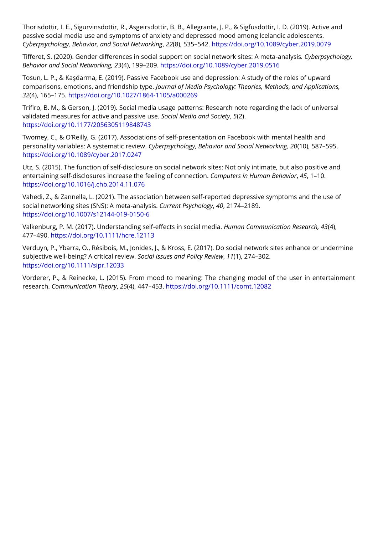Thorisdottir, I. E., Sigurvinsdottir, R., Asgeirsdottir, B. B., Allegrante, J. P., & Sigfusdottir, I. D. (2019). Active and passive social media use and symptoms of anxiety and depressed mood among Icelandic adolescents. *Cyberpsychology, Behavior, and Social Networking*, *22*(8), 535–542.<https://doi.org/10.1089/cyber.2019.0079>

Tifferet, S. (2020). Gender differences in social support on social network sites: A meta-analysis*. Cyberpsychology, Behavior and Social Networking, 23*(4), 199–209.<https://doi.org/10.1089/cyber.2019.0516>

Tosun, L. P., & Kaşdarma, E. (2019). Passive Facebook use and depression: A study of the roles of upward comparisons, emotions, and friendship type. *Journal of Media Psychology: Theories, Methods, and Applications, 32*(4), 165–175[. https://doi.org/10.1027/1864-1105/a000269](https://doi.org/10.1027/1864-1105/a000269)

Trifiro, B. M., & Gerson, J. (2019). Social media usage patterns: Research note regarding the lack of universal validated measures for active and passive use. *Social Media and Society*, *5*(2). <https://doi.org/10.1177/2056305119848743>

Twomey, C., & O'Reilly, G. (2017). Associations of self-presentation on Facebook with mental health and personality variables: A systematic review. *Cyberpsychology, Behavior and Social Networking, 20*(10), 587–595. <https://doi.org/10.1089/cyber.2017.0247>

Utz, S. (2015). The function of self-disclosure on social network sites: Not only intimate, but also positive and entertaining self-disclosures increase the feeling of connection. *Computers in Human Behavior*, *45*, 1–10. <https://doi.org/10.1016/j.chb.2014.11.076>

Vahedi, Z., & Zannella, L. (2021). The association between self-reported depressive symptoms and the use of social networking sites (SNS): A meta-analysis. *Current Psychology*, *40*, 2174–2189. <https://doi.org/10.1007/s12144-019-0150-6>

Valkenburg, P. M. (2017). Understanding self-effects in social media. *Human Communication Research, 43*(4), 477–490.<https://doi.org/10.1111/hcre.12113>

Verduyn, P., Ybarra, O., Résibois, M., Jonides, J., & Kross, E. (2017). Do social network sites enhance or undermine subjective well‐being? A critical review. *Social Issues and Policy Review*, *11*(1), 274–302. <https://doi.org/10.1111/sipr.12033>

Vorderer, P., & Reinecke, L. (2015). From mood to meaning: The changing model of the user in entertainment research. *Communication Theory*, *25*(4), 447–453.<https://doi.org/10.1111/comt.12082>